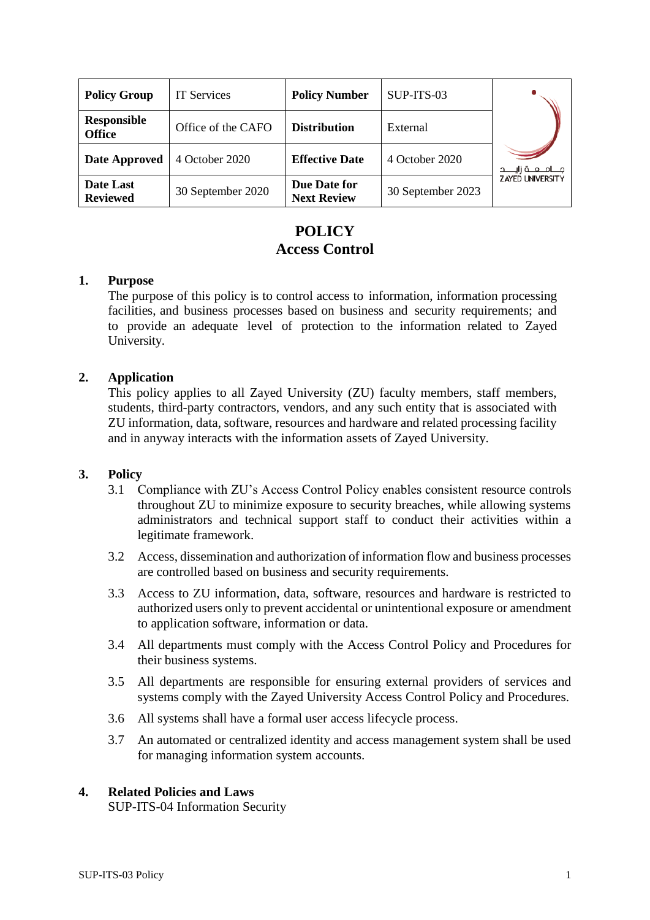| <b>Policy Group</b>                 | <b>IT Services</b> | <b>Policy Number</b>               | SUP-ITS-03        |                           |
|-------------------------------------|--------------------|------------------------------------|-------------------|---------------------------|
| <b>Responsible</b><br><b>Office</b> | Office of the CAFO | <b>Distribution</b>                | External          |                           |
| Date Approved                       | 4 October 2020     | <b>Effective Date</b>              | 4 October 2020    | مــــامـــعـــة زايـــــد |
| Date Last<br><b>Reviewed</b>        | 30 September 2020  | Due Date for<br><b>Next Review</b> | 30 September 2023 | <b>ZAYED UNIVERSITY</b>   |

# **POLICY Access Control**

### **1. Purpose**

The purpose of this policy is to control access to information, information processing facilities, and business processes based on business and security requirements; and to provide an adequate level of protection to the information related to Zayed University.

## **2. Application**

This policy applies to all Zayed University (ZU) faculty members, staff members, students, third-party contractors, vendors, and any such entity that is associated with ZU information, data, software, resources and hardware and related processing facility and in anyway interacts with the information assets of Zayed University.

#### **3. Policy**

- 3.1 Compliance with ZU's Access Control Policy enables consistent resource controls throughout ZU to minimize exposure to security breaches, while allowing systems administrators and technical support staff to conduct their activities within a legitimate framework.
- 3.2 Access, dissemination and authorization of information flow and business processes are controlled based on business and security requirements.
- 3.3 Access to ZU information, data, software, resources and hardware is restricted to authorized users only to prevent accidental or unintentional exposure or amendment to application software, information or data.
- 3.4 All departments must comply with the Access Control Policy and Procedures for their business systems.
- 3.5 All departments are responsible for ensuring external providers of services and systems comply with the Zayed University Access Control Policy and Procedures.
- 3.6 All systems shall have a formal user access lifecycle process.
- 3.7 An automated or centralized identity and access management system shall be used for managing information system accounts.

#### **4. Related Policies and Laws**

SUP-ITS-04 Information Security